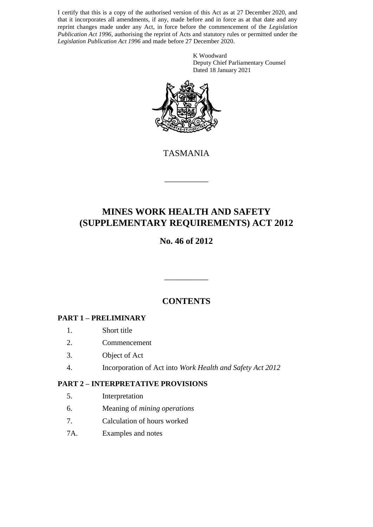I certify that this is a copy of the authorised version of this Act as at 27 December 2020, and that it incorporates all amendments, if any, made before and in force as at that date and any reprint changes made under any Act, in force before the commencement of the *Legislation Publication Act 1996*, authorising the reprint of Acts and statutory rules or permitted under the *Legislation Publication Act 1996* and made before 27 December 2020.

> K Woodward Deputy Chief Parliamentary Counsel Dated 18 January 2021



TASMANIA

\_\_\_\_\_\_\_\_\_\_

# **MINES WORK HEALTH AND SAFETY (SUPPLEMENTARY REQUIREMENTS) ACT 2012**

# **No. 46 of 2012**

# **CONTENTS**

\_\_\_\_\_\_\_\_\_\_

### **PART 1 – PRELIMINARY**

- 1. Short title
- 2. Commencement
- 3. Object of Act
- 4. Incorporation of Act into *Work Health and Safety Act 2012*

#### **PART 2 – INTERPRETATIVE PROVISIONS**

- 5. Interpretation
- 6. Meaning of *mining operations*
- 7. Calculation of hours worked
- 7A. Examples and notes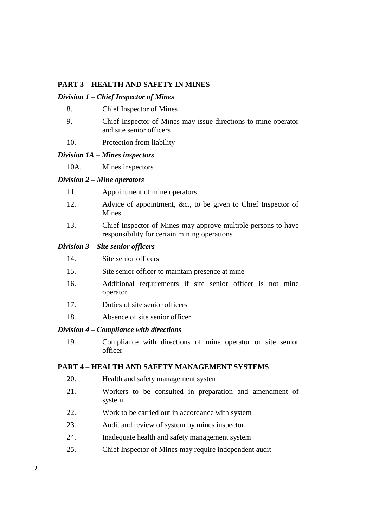#### **PART 3 – HEALTH AND SAFETY IN MINES**

#### *Division 1 – Chief Inspector of Mines*

- 8. Chief Inspector of Mines
- 9. Chief Inspector of Mines may issue directions to mine operator and site senior officers
- 10. Protection from liability

#### *Division 1A – Mines inspectors*

10A. Mines inspectors

#### *Division 2 – Mine operators*

- 11. Appointment of mine operators
- 12. Advice of appointment, &c., to be given to Chief Inspector of Mines
- 13. Chief Inspector of Mines may approve multiple persons to have responsibility for certain mining operations

#### *Division 3 – Site senior officers*

- 14. Site senior officers
- 15. Site senior officer to maintain presence at mine
- 16. Additional requirements if site senior officer is not mine operator
- 17. Duties of site senior officers
- 18. Absence of site senior officer

#### *Division 4 – Compliance with directions*

19. Compliance with directions of mine operator or site senior officer

#### **PART 4 – HEALTH AND SAFETY MANAGEMENT SYSTEMS**

- 20. Health and safety management system
- 21. Workers to be consulted in preparation and amendment of system
- 22. Work to be carried out in accordance with system
- 23. Audit and review of system by mines inspector
- 24. Inadequate health and safety management system
- 25. Chief Inspector of Mines may require independent audit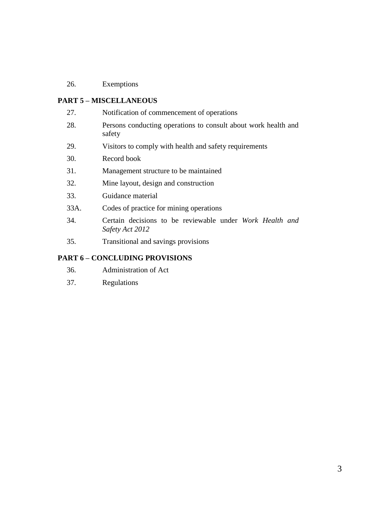# 26. Exemptions

### **PART 5 – MISCELLANEOUS**

| 27.  | Notification of commencement of operations                                  |
|------|-----------------------------------------------------------------------------|
| 28.  | Persons conducting operations to consult about work health and<br>safety    |
| 29.  | Visitors to comply with health and safety requirements                      |
| 30.  | Record book                                                                 |
| 31.  | Management structure to be maintained                                       |
| 32.  | Mine layout, design and construction                                        |
| 33.  | Guidance material                                                           |
| 33A. | Codes of practice for mining operations                                     |
| 34.  | Certain decisions to be reviewable under Work Health and<br>Safety Act 2012 |
| 35.  | Transitional and savings provisions                                         |

# **PART 6 – CONCLUDING PROVISIONS**

- 36. Administration of Act
- 37. Regulations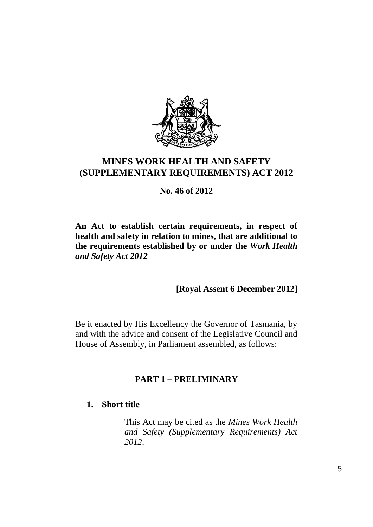

# **MINES WORK HEALTH AND SAFETY (SUPPLEMENTARY REQUIREMENTS) ACT 2012**

**No. 46 of 2012**

**An Act to establish certain requirements, in respect of health and safety in relation to mines, that are additional to the requirements established by or under the** *Work Health and Safety Act 2012*

**[Royal Assent 6 December 2012]**

Be it enacted by His Excellency the Governor of Tasmania, by and with the advice and consent of the Legislative Council and House of Assembly, in Parliament assembled, as follows:

# **PART 1 – PRELIMINARY**

# **1. Short title**

This Act may be cited as the *Mines Work Health and Safety (Supplementary Requirements) Act 2012*.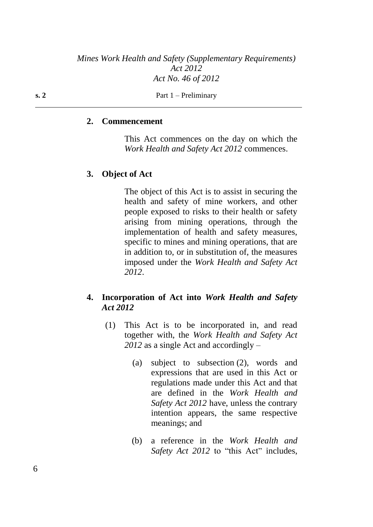#### **2. Commencement**

This Act commences on the day on which the *Work Health and Safety Act 2012* commences.

#### **3. Object of Act**

The object of this Act is to assist in securing the health and safety of mine workers, and other people exposed to risks to their health or safety arising from mining operations, through the implementation of health and safety measures, specific to mines and mining operations, that are in addition to, or in substitution of, the measures imposed under the *Work Health and Safety Act 2012*.

### **4. Incorporation of Act into** *Work Health and Safety Act 2012*

- (1) This Act is to be incorporated in, and read together with, the *Work Health and Safety Act 2012* as a single Act and accordingly –
	- (a) subject to subsection (2), words and expressions that are used in this Act or regulations made under this Act and that are defined in the *Work Health and Safety Act 2012* have, unless the contrary intention appears, the same respective meanings; and
	- (b) a reference in the *Work Health and Safety Act 2012* to "this Act" includes,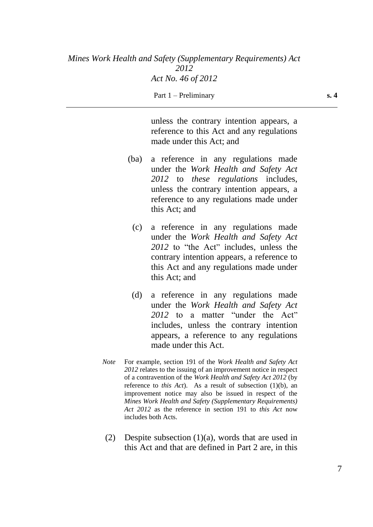unless the contrary intention appears, a reference to this Act and any regulations made under this Act; and

- (ba) a reference in any regulations made under the *Work Health and Safety Act 2012* to *these regulations* includes, unless the contrary intention appears, a reference to any regulations made under this Act; and
	- (c) a reference in any regulations made under the *Work Health and Safety Act 2012* to "the Act" includes, unless the contrary intention appears, a reference to this Act and any regulations made under this Act; and
	- (d) a reference in any regulations made under the *Work Health and Safety Act 2012* to a matter "under the Act" includes, unless the contrary intention appears, a reference to any regulations made under this Act.
- *Note* For example, section 191 of the *Work Health and Safety Act 2012* relates to the issuing of an improvement notice in respect of a contravention of the *Work Health and Safety Act 2012* (by reference to *this Act*). As a result of subsection (1)(b), an improvement notice may also be issued in respect of the *Mines Work Health and Safety (Supplementary Requirements) Act 2012* as the reference in section 191 to *this Act* now includes both Acts.
- (2) Despite subsection (1)(a), words that are used in this Act and that are defined in Part 2 are, in this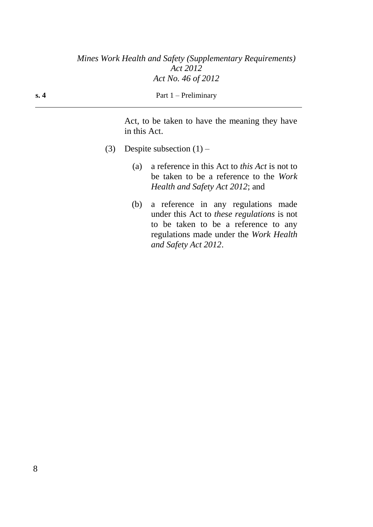| s. 4 | Part $1$ – Preliminary |
|------|------------------------|
|      |                        |

Act, to be taken to have the meaning they have in this Act.

- (3) Despite subsection  $(1)$ 
	- (a) a reference in this Act to *this Act* is not to be taken to be a reference to the *Work Health and Safety Act 2012*; and
	- (b) a reference in any regulations made under this Act to *these regulations* is not to be taken to be a reference to any regulations made under the *Work Health and Safety Act 2012*.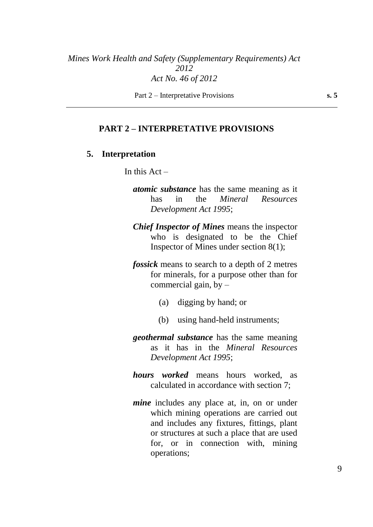Part 2 – Interpretative Provisions **s. 5**

#### **PART 2 – INTERPRETATIVE PROVISIONS**

#### **5. Interpretation**

In this  $Act -$ 

- *atomic substance* has the same meaning as it has in the *Mineral Resources Development Act 1995*;
- *Chief Inspector of Mines* means the inspector who is designated to be the Chief Inspector of Mines under section 8(1);
- *fossick* means to search to a depth of 2 metres for minerals, for a purpose other than for commercial gain, by  $-$ 
	- (a) digging by hand; or
	- (b) using hand-held instruments;
- *geothermal substance* has the same meaning as it has in the *Mineral Resources Development Act 1995*;
- *hours worked* means hours worked, as calculated in accordance with section 7;
- *mine* includes any place at, in, on or under which mining operations are carried out and includes any fixtures, fittings, plant or structures at such a place that are used for, or in connection with, mining operations;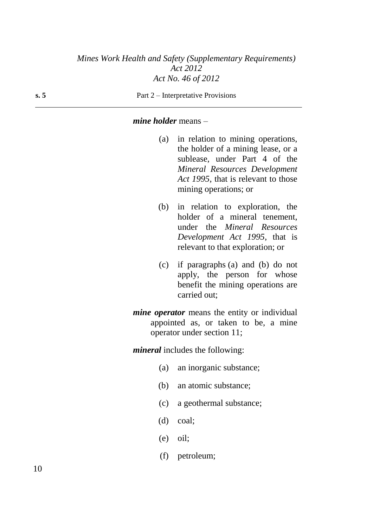#### **s. 5** Part 2 – Interpretative Provisions

#### *mine holder* means –

- (a) in relation to mining operations, the holder of a mining lease, or a sublease, under Part 4 of the *Mineral Resources Development Act 1995*, that is relevant to those mining operations; or
- (b) in relation to exploration, the holder of a mineral tenement, under the *Mineral Resources Development Act 1995*, that is relevant to that exploration; or
- (c) if paragraphs (a) and (b) do not apply, the person for whose benefit the mining operations are carried out;
- *mine operator* means the entity or individual appointed as, or taken to be, a mine operator under section 11;

*mineral* includes the following:

- (a) an inorganic substance;
- (b) an atomic substance;
- (c) a geothermal substance;
- (d) coal;
- (e) oil;
- (f) petroleum;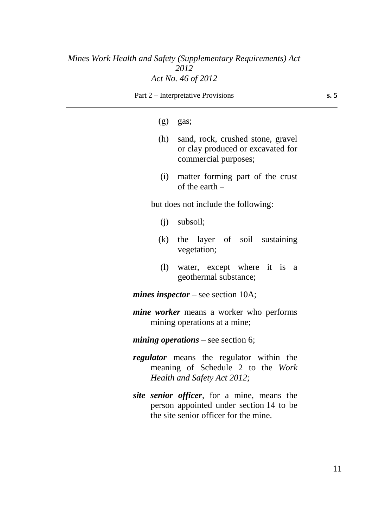Part 2 – Interpretative Provisions **s. 5**

#### $(g)$  gas;

- (h) sand, rock, crushed stone, gravel or clay produced or excavated for commercial purposes;
- (i) matter forming part of the crust of the earth –

but does not include the following:

- (j) subsoil;
- (k) the layer of soil sustaining vegetation;
- (l) water, except where it is a geothermal substance;

*mines inspector* – see section 10A;

- *mine worker* means a worker who performs mining operations at a mine;
- *mining operations* see section 6;
- *regulator* means the regulator within the meaning of Schedule 2 to the *Work Health and Safety Act 2012*;
- *site senior officer*, for a mine, means the person appointed under section 14 to be the site senior officer for the mine.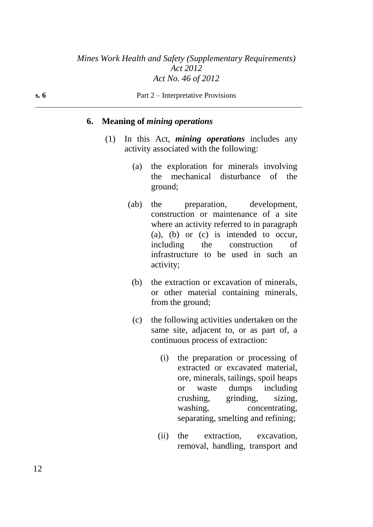#### **6. Meaning of** *mining operations*

- (1) In this Act, *mining operations* includes any activity associated with the following:
	- (a) the exploration for minerals involving the mechanical disturbance of the ground;
	- (ab) the preparation, development, construction or maintenance of a site where an activity referred to in paragraph (a), (b) or (c) is intended to occur, including the construction of infrastructure to be used in such an activity;
		- (b) the extraction or excavation of minerals, or other material containing minerals, from the ground;
		- (c) the following activities undertaken on the same site, adjacent to, or as part of, a continuous process of extraction:
			- (i) the preparation or processing of extracted or excavated material, ore, minerals, tailings, spoil heaps or waste dumps including crushing, grinding, sizing, washing, concentrating, separating, smelting and refining;
			- (ii) the extraction, excavation, removal, handling, transport and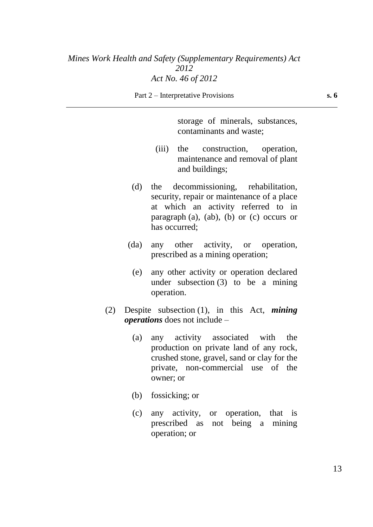storage of minerals, substances, contaminants and waste;

- (iii) the construction, operation, maintenance and removal of plant and buildings;
- (d) the decommissioning, rehabilitation, security, repair or maintenance of a place at which an activity referred to in paragraph (a), (ab), (b) or (c) occurs or has occurred;
- (da) any other activity, or operation, prescribed as a mining operation;
	- (e) any other activity or operation declared under subsection (3) to be a mining operation.
- (2) Despite subsection (1), in this Act, *mining operations* does not include –
	- (a) any activity associated with the production on private land of any rock, crushed stone, gravel, sand or clay for the private, non-commercial use of the owner; or
	- (b) fossicking; or
	- (c) any activity, or operation, that is prescribed as not being a mining operation; or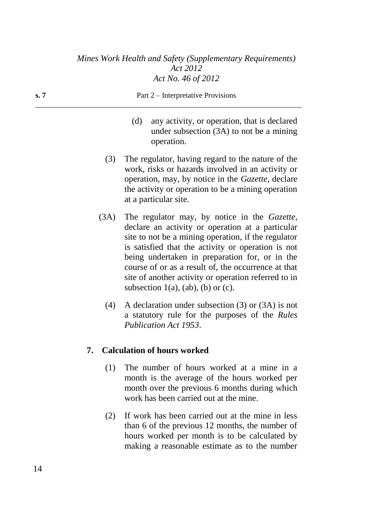| s. 7 | Part 2 – Interpretative Provisions |                                                                                                                                                                                                                                                    |  |
|------|------------------------------------|----------------------------------------------------------------------------------------------------------------------------------------------------------------------------------------------------------------------------------------------------|--|
|      | (d)                                | any activity, or operation, that is declared<br>under subsection $(3A)$ to not be a mining<br>operation.                                                                                                                                           |  |
|      | (3)                                | The regulator, having regard to the nature of the<br>work, risks or hazards involved in an activity or<br>operation, may, by notice in the <i>Gazette</i> , declare<br>the activity or operation to be a mining operation<br>at a particular site. |  |
|      | (3A)                               | The regulator may, by notice in the Gazette,<br>declare an activity or operation at a particular                                                                                                                                                   |  |

- site to not be a mining operation, if the regulator is satisfied that the activity or operation is not being undertaken in preparation for, or in the course of or as a result of, the occurrence at that site of another activity or operation referred to in subsection  $1(a)$ ,  $(ab)$ ,  $(b)$  or  $(c)$ .
- (4) A declaration under subsection (3) or (3A) is not a statutory rule for the purposes of the *Rules Publication Act 1953*.

# **7. Calculation of hours worked**

- (1) The number of hours worked at a mine in a month is the average of the hours worked per month over the previous 6 months during which work has been carried out at the mine.
- (2) If work has been carried out at the mine in less than 6 of the previous 12 months, the number of hours worked per month is to be calculated by making a reasonable estimate as to the number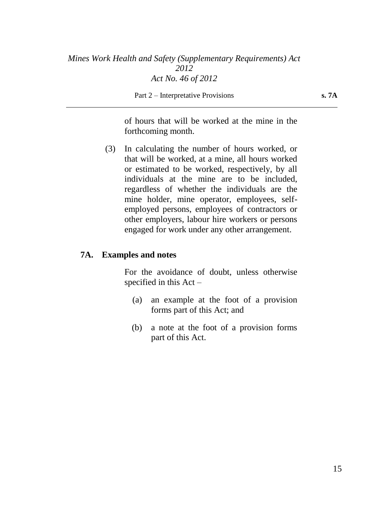Part 2 – Interpretative Provisions **s. 7A** 

of hours that will be worked at the mine in the forthcoming month.

(3) In calculating the number of hours worked, or that will be worked, at a mine, all hours worked or estimated to be worked, respectively, by all individuals at the mine are to be included, regardless of whether the individuals are the mine holder, mine operator, employees, selfemployed persons, employees of contractors or other employers, labour hire workers or persons engaged for work under any other arrangement.

### **7A. Examples and notes**

For the avoidance of doubt, unless otherwise specified in this Act –

- (a) an example at the foot of a provision forms part of this Act; and
- (b) a note at the foot of a provision forms part of this Act.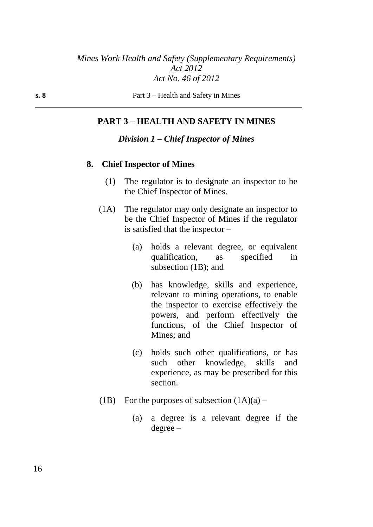### **PART 3 – HEALTH AND SAFETY IN MINES**

#### *Division 1 – Chief Inspector of Mines*

#### **8. Chief Inspector of Mines**

- (1) The regulator is to designate an inspector to be the Chief Inspector of Mines.
- (1A) The regulator may only designate an inspector to be the Chief Inspector of Mines if the regulator is satisfied that the inspector –
	- (a) holds a relevant degree, or equivalent qualification, as specified in subsection (1B); and
	- (b) has knowledge, skills and experience, relevant to mining operations, to enable the inspector to exercise effectively the powers, and perform effectively the functions, of the Chief Inspector of Mines; and
	- (c) holds such other qualifications, or has such other knowledge, skills and experience, as may be prescribed for this section.
- (1B) For the purposes of subsection  $(1A)(a)$ 
	- (a) a degree is a relevant degree if the degree –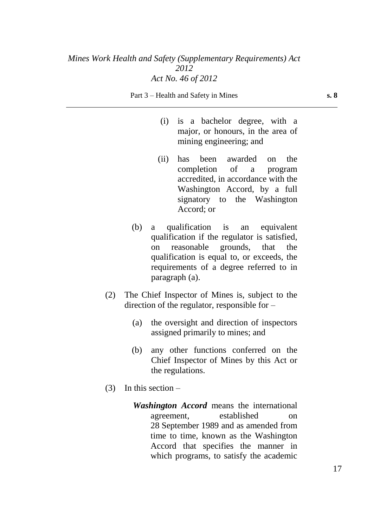Part 3 – Health and Safety in Mines **s. 8** 

- (i) is a bachelor degree, with a major, or honours, in the area of mining engineering; and
- (ii) has been awarded on the completion of a program accredited, in accordance with the Washington Accord, by a full signatory to the Washington Accord; or
- (b) a qualification is an equivalent qualification if the regulator is satisfied, on reasonable grounds, that the qualification is equal to, or exceeds, the requirements of a degree referred to in paragraph (a).
- (2) The Chief Inspector of Mines is, subject to the direction of the regulator, responsible for –
	- (a) the oversight and direction of inspectors assigned primarily to mines; and
	- (b) any other functions conferred on the Chief Inspector of Mines by this Act or the regulations.
- $(3)$  In this section
	- *Washington Accord* means the international agreement, established on 28 September 1989 and as amended from time to time, known as the Washington Accord that specifies the manner in which programs, to satisfy the academic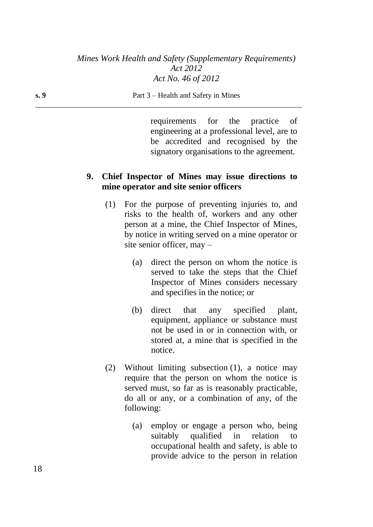#### **s. 9** Part 3 – Health and Safety in Mines

requirements for the practice of engineering at a professional level, are to be accredited and recognised by the signatory organisations to the agreement.

### **9. Chief Inspector of Mines may issue directions to mine operator and site senior officers**

- (1) For the purpose of preventing injuries to, and risks to the health of, workers and any other person at a mine, the Chief Inspector of Mines, by notice in writing served on a mine operator or site senior officer, may –
	- (a) direct the person on whom the notice is served to take the steps that the Chief Inspector of Mines considers necessary and specifies in the notice; or
	- (b) direct that any specified plant, equipment, appliance or substance must not be used in or in connection with, or stored at, a mine that is specified in the notice.
- (2) Without limiting subsection (1), a notice may require that the person on whom the notice is served must, so far as is reasonably practicable, do all or any, or a combination of any, of the following:
	- (a) employ or engage a person who, being suitably qualified in relation to occupational health and safety, is able to provide advice to the person in relation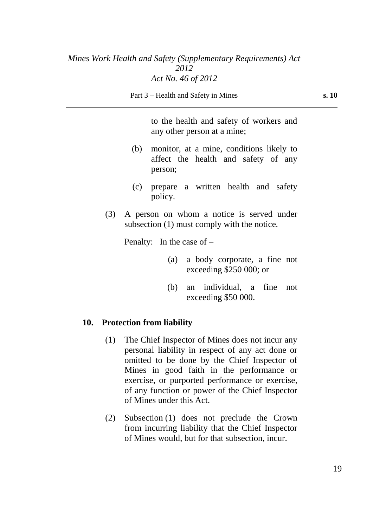to the health and safety of workers and any other person at a mine;

- (b) monitor, at a mine, conditions likely to affect the health and safety of any person;
- (c) prepare a written health and safety policy.
- (3) A person on whom a notice is served under subsection (1) must comply with the notice.

Penalty: In the case of –

- (a) a body corporate, a fine not exceeding \$250 000; or
- (b) an individual, a fine not exceeding \$50 000.

#### **10. Protection from liability**

- (1) The Chief Inspector of Mines does not incur any personal liability in respect of any act done or omitted to be done by the Chief Inspector of Mines in good faith in the performance or exercise, or purported performance or exercise, of any function or power of the Chief Inspector of Mines under this Act.
- (2) Subsection (1) does not preclude the Crown from incurring liability that the Chief Inspector of Mines would, but for that subsection, incur.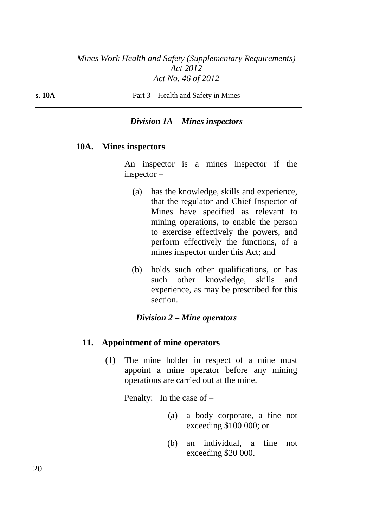**s. 10A** Part 3 – Health and Safety in Mines

### *Division 1A – Mines inspectors*

#### **10A. Mines inspectors**

An inspector is a mines inspector if the inspector –

- (a) has the knowledge, skills and experience, that the regulator and Chief Inspector of Mines have specified as relevant to mining operations, to enable the person to exercise effectively the powers, and perform effectively the functions, of a mines inspector under this Act; and
- (b) holds such other qualifications, or has such other knowledge, skills and experience, as may be prescribed for this section.

#### *Division 2 – Mine operators*

#### **11. Appointment of mine operators**

(1) The mine holder in respect of a mine must appoint a mine operator before any mining operations are carried out at the mine.

Penalty: In the case of –

- (a) a body corporate, a fine not exceeding \$100 000; or
- (b) an individual, a fine not exceeding \$20 000.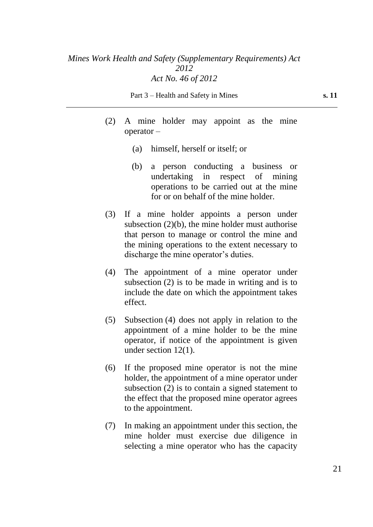Part 3 – Health and Safety in Mines **s. 11** 

- (2) A mine holder may appoint as the mine operator –
	- (a) himself, herself or itself; or
	- (b) a person conducting a business or undertaking in respect of mining operations to be carried out at the mine for or on behalf of the mine holder.
- (3) If a mine holder appoints a person under subsection  $(2)(b)$ , the mine holder must authorise that person to manage or control the mine and the mining operations to the extent necessary to discharge the mine operator's duties.
- (4) The appointment of a mine operator under subsection (2) is to be made in writing and is to include the date on which the appointment takes effect.
- (5) Subsection (4) does not apply in relation to the appointment of a mine holder to be the mine operator, if notice of the appointment is given under section 12(1).
- (6) If the proposed mine operator is not the mine holder, the appointment of a mine operator under subsection (2) is to contain a signed statement to the effect that the proposed mine operator agrees to the appointment.
- (7) In making an appointment under this section, the mine holder must exercise due diligence in selecting a mine operator who has the capacity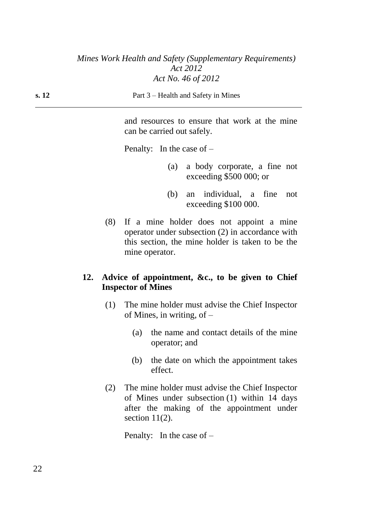and resources to ensure that work at the mine can be carried out safely.

Penalty: In the case of –

- (a) a body corporate, a fine not exceeding \$500 000; or
- (b) an individual, a fine not exceeding \$100 000.
- (8) If a mine holder does not appoint a mine operator under subsection (2) in accordance with this section, the mine holder is taken to be the mine operator.

### **12. Advice of appointment, &c., to be given to Chief Inspector of Mines**

- (1) The mine holder must advise the Chief Inspector of Mines, in writing, of –
	- (a) the name and contact details of the mine operator; and
	- (b) the date on which the appointment takes effect.
- (2) The mine holder must advise the Chief Inspector of Mines under subsection (1) within 14 days after the making of the appointment under section  $11(2)$ .

Penalty: In the case of –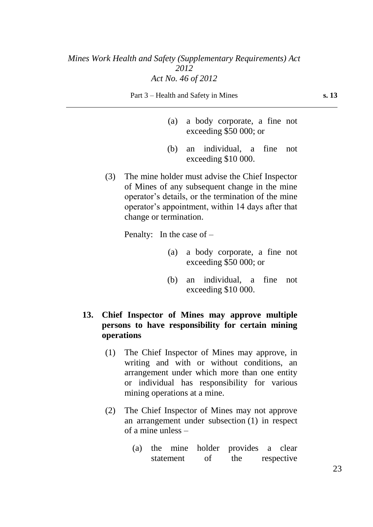Part 3 – Health and Safety in Mines **s. 13** 

- (a) a body corporate, a fine not exceeding \$50 000; or
- (b) an individual, a fine not exceeding \$10 000.
- (3) The mine holder must advise the Chief Inspector of Mines of any subsequent change in the mine operator's details, or the termination of the mine operator's appointment, within 14 days after that change or termination.

Penalty: In the case of –

- (a) a body corporate, a fine not exceeding \$50 000; or
- (b) an individual, a fine not exceeding \$10 000.

### **13. Chief Inspector of Mines may approve multiple persons to have responsibility for certain mining operations**

- (1) The Chief Inspector of Mines may approve, in writing and with or without conditions, an arrangement under which more than one entity or individual has responsibility for various mining operations at a mine.
- (2) The Chief Inspector of Mines may not approve an arrangement under subsection (1) in respect of a mine unless –
	- (a) the mine holder provides a clear statement of the respective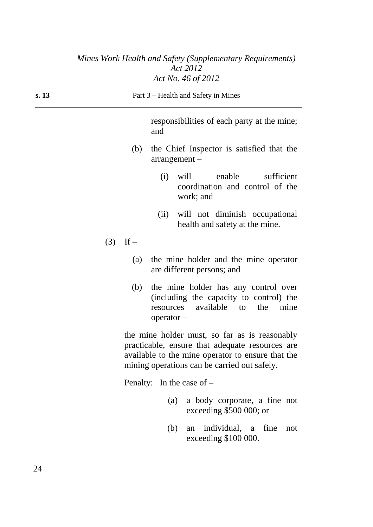| s. 13 |            | Part 3 – Health and Safety in Mines                                                                                                                                                                   |
|-------|------------|-------------------------------------------------------------------------------------------------------------------------------------------------------------------------------------------------------|
|       |            | responsibilities of each party at the mine;<br>and                                                                                                                                                    |
|       | (b)        | the Chief Inspector is satisfied that the<br>$arrangement -$                                                                                                                                          |
|       |            | enable<br>sufficient<br>(i)<br>will<br>coordination and control of the<br>work; and                                                                                                                   |
|       |            | (ii)<br>will not diminish occupational<br>health and safety at the mine.                                                                                                                              |
|       | $(3)$ If – |                                                                                                                                                                                                       |
|       | (a)        | the mine holder and the mine operator<br>are different persons; and                                                                                                                                   |
|       | (b)        | the mine holder has any control over<br>(including the capacity to control) the<br>available to<br>the<br>mine<br>resources<br>$operator-$                                                            |
|       |            | the mine holder must, so far as is reasonably<br>practicable, ensure that adequate resources are<br>available to the mine operator to ensure that the<br>mining operations can be carried out safely. |
|       |            | Penalty: In the case of $-$                                                                                                                                                                           |
|       |            | $\sim$ $\sim$ $\sim$ $\sim$ $\sim$ $\sim$ $\sim$ $\sim$                                                                                                                                               |

- (a) a body corporate, a fine not exceeding \$500 000; or
- (b) an individual, a fine not exceeding \$100 000.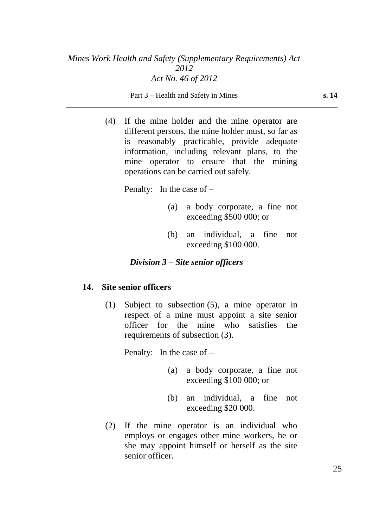Part 3 – Health and Safety in Mines **s. 14** 

(4) If the mine holder and the mine operator are different persons, the mine holder must, so far as is reasonably practicable, provide adequate information, including relevant plans, to the mine operator to ensure that the mining operations can be carried out safely.

Penalty: In the case of –

- (a) a body corporate, a fine not exceeding \$500 000; or
- (b) an individual, a fine not exceeding \$100 000.

### *Division 3 – Site senior officers*

#### **14. Site senior officers**

(1) Subject to subsection (5), a mine operator in respect of a mine must appoint a site senior officer for the mine who satisfies the requirements of subsection (3).

Penalty: In the case of –

- (a) a body corporate, a fine not exceeding \$100 000; or
- (b) an individual, a fine not exceeding \$20 000.
- (2) If the mine operator is an individual who employs or engages other mine workers, he or she may appoint himself or herself as the site senior officer.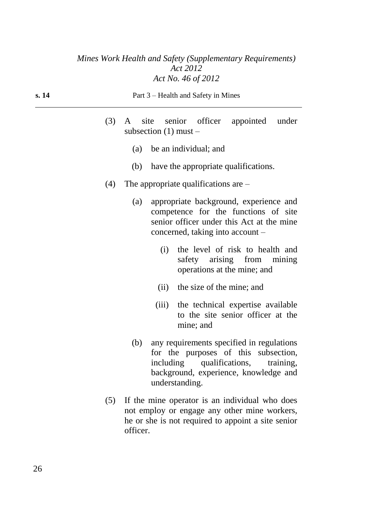| s. 14 | Part 3 – Health and Safety in Mines                                                                                                                                                        |
|-------|--------------------------------------------------------------------------------------------------------------------------------------------------------------------------------------------|
| (3)   | A site senior officer appointed under<br>subsection $(1)$ must –                                                                                                                           |
|       | (a) be an individual; and                                                                                                                                                                  |
|       | (b) have the appropriate qualifications.                                                                                                                                                   |
| (4)   | The appropriate qualifications are $-$                                                                                                                                                     |
|       | appropriate background, experience and<br>(a)<br>competence for the functions of site<br>senior officer under this Act at the mine<br>concerned, taking into account –                     |
|       | the level of risk to health and<br>(i)<br>safety arising from mining<br>operations at the mine; and                                                                                        |
|       | (ii) the size of the mine; and                                                                                                                                                             |
|       | (iii) the technical expertise available<br>to the site senior officer at the<br>mine; and                                                                                                  |
|       | any requirements specified in regulations<br>(b)<br>for the purposes of this subsection,<br>including qualifications, training,<br>background, experience, knowledge and<br>understanding. |
| (5)   | If the mine operator is an individual who does<br>not employ or engage any other mine workers,<br>he or she is not required to appoint a site senior<br>officer.                           |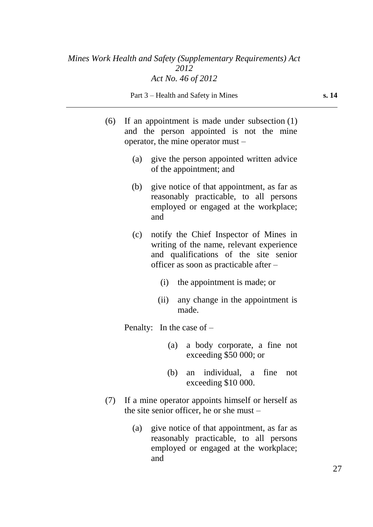Part 3 – Health and Safety in Mines **s. 14** 

- (6) If an appointment is made under subsection (1) and the person appointed is not the mine operator, the mine operator must –
	- (a) give the person appointed written advice of the appointment; and
	- (b) give notice of that appointment, as far as reasonably practicable, to all persons employed or engaged at the workplace; and
	- (c) notify the Chief Inspector of Mines in writing of the name, relevant experience and qualifications of the site senior officer as soon as practicable after –
		- (i) the appointment is made; or
		- (ii) any change in the appointment is made.

Penalty: In the case of –

- (a) a body corporate, a fine not exceeding \$50 000; or
- (b) an individual, a fine not exceeding \$10 000.
- (7) If a mine operator appoints himself or herself as the site senior officer, he or she must –
	- (a) give notice of that appointment, as far as reasonably practicable, to all persons employed or engaged at the workplace; and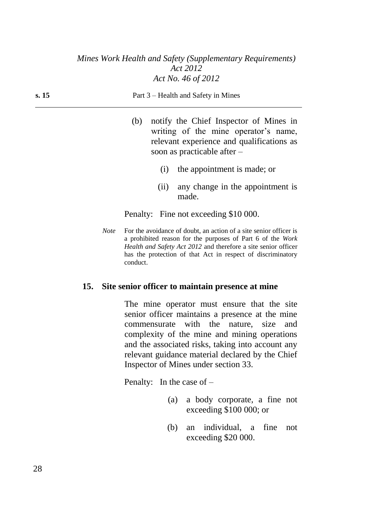| s. 15 | Part 3 – Health and Safety in Mines |
|-------|-------------------------------------|
|-------|-------------------------------------|

- (b) notify the Chief Inspector of Mines in writing of the mine operator's name, relevant experience and qualifications as soon as practicable after –
	- (i) the appointment is made; or
	- (ii) any change in the appointment is made.

Penalty: Fine not exceeding \$10 000.

*Note* For the avoidance of doubt, an action of a site senior officer is a prohibited reason for the purposes of Part 6 of the *Work Health and Safety Act 2012* and therefore a site senior officer has the protection of that Act in respect of discriminatory conduct.

#### **15. Site senior officer to maintain presence at mine**

The mine operator must ensure that the site senior officer maintains a presence at the mine commensurate with the nature, size and complexity of the mine and mining operations and the associated risks, taking into account any relevant guidance material declared by the Chief Inspector of Mines under section 33.

Penalty: In the case of –

- (a) a body corporate, a fine not exceeding \$100 000; or
- (b) an individual, a fine not exceeding \$20 000.

28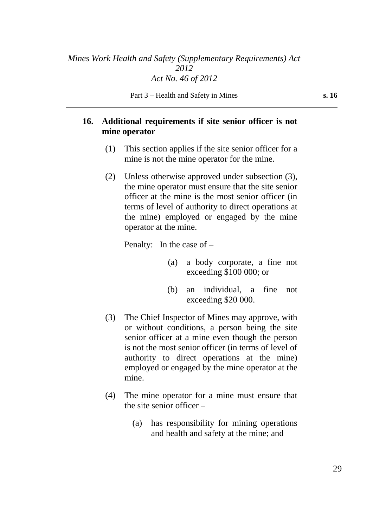### **16. Additional requirements if site senior officer is not mine operator**

- (1) This section applies if the site senior officer for a mine is not the mine operator for the mine.
- (2) Unless otherwise approved under subsection (3), the mine operator must ensure that the site senior officer at the mine is the most senior officer (in terms of level of authority to direct operations at the mine) employed or engaged by the mine operator at the mine.

Penalty: In the case of –

- (a) a body corporate, a fine not exceeding \$100 000; or
- (b) an individual, a fine not exceeding \$20 000.
- (3) The Chief Inspector of Mines may approve, with or without conditions, a person being the site senior officer at a mine even though the person is not the most senior officer (in terms of level of authority to direct operations at the mine) employed or engaged by the mine operator at the mine.
- (4) The mine operator for a mine must ensure that the site senior officer –
	- (a) has responsibility for mining operations and health and safety at the mine; and

29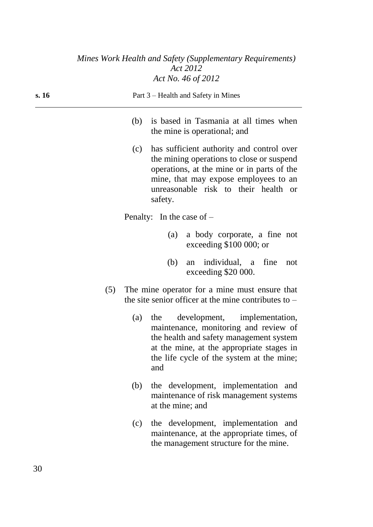| s. 16 | Part 3 – Health and Safety in Mines                                                                                                                                                                                                               |
|-------|---------------------------------------------------------------------------------------------------------------------------------------------------------------------------------------------------------------------------------------------------|
|       | is based in Tasmania at all times when<br>(b)<br>the mine is operational; and                                                                                                                                                                     |
|       | has sufficient authority and control over<br>(c)<br>the mining operations to close or suspend<br>operations, at the mine or in parts of the<br>mine, that may expose employees to an<br>unreasonable risk to their health<br><b>or</b><br>safety. |
|       | Penalty: In the case of $-$                                                                                                                                                                                                                       |
|       | a body corporate, a fine not<br>(a)<br>exceeding \$100 000; or                                                                                                                                                                                    |
|       | individual, a<br>fine<br>(b)<br>not<br>an<br>exceeding \$20 000.                                                                                                                                                                                  |
| (5)   | The mine operator for a mine must ensure that<br>the site senior officer at the mine contributes to $-$                                                                                                                                           |
|       | development, implementation,<br>(a)<br>the<br>maintenance, monitoring and review of<br>the health and safety management system<br>at the mine, at the appropriate stages in<br>the life cycle of the system at the mine;<br>and                   |
|       | the development, implementation and<br>(b)<br>maintenance of risk management systems<br>at the mine; and                                                                                                                                          |
|       | the development, implementation and<br>(c)<br>maintenance, at the appropriate times, of<br>the management structure for the mine.                                                                                                                 |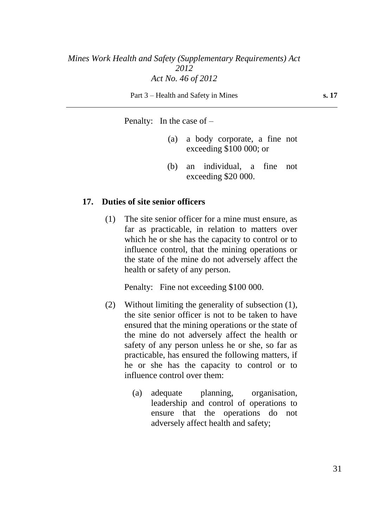Part 3 – Health and Safety in Mines **s. 17** 

Penalty: In the case of –

- (a) a body corporate, a fine not exceeding \$100 000; or
- (b) an individual, a fine not exceeding \$20 000.

#### **17. Duties of site senior officers**

(1) The site senior officer for a mine must ensure, as far as practicable, in relation to matters over which he or she has the capacity to control or to influence control, that the mining operations or the state of the mine do not adversely affect the health or safety of any person.

Penalty: Fine not exceeding \$100 000.

- (2) Without limiting the generality of subsection (1), the site senior officer is not to be taken to have ensured that the mining operations or the state of the mine do not adversely affect the health or safety of any person unless he or she, so far as practicable, has ensured the following matters, if he or she has the capacity to control or to influence control over them:
	- (a) adequate planning, organisation, leadership and control of operations to ensure that the operations do not adversely affect health and safety;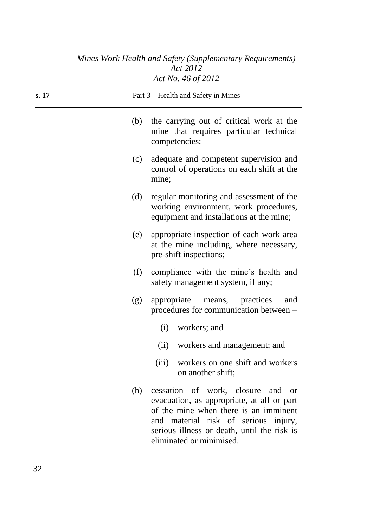| s. 17 | Part 3 – Health and Safety in Mines |                                                                                                                                                                                                                                             |  |
|-------|-------------------------------------|---------------------------------------------------------------------------------------------------------------------------------------------------------------------------------------------------------------------------------------------|--|
|       | (b)                                 | the carrying out of critical work at the<br>mine that requires particular technical<br>competencies;                                                                                                                                        |  |
|       | (c)                                 | adequate and competent supervision and<br>control of operations on each shift at the<br>mine;                                                                                                                                               |  |
|       | (d)                                 | regular monitoring and assessment of the<br>working environment, work procedures,<br>equipment and installations at the mine;                                                                                                               |  |
|       | (e)                                 | appropriate inspection of each work area<br>at the mine including, where necessary,<br>pre-shift inspections;                                                                                                                               |  |
|       | (f)                                 | compliance with the mine's health and<br>safety management system, if any;                                                                                                                                                                  |  |
|       | (g)                                 | appropriate<br>means, practices<br>and<br>procedures for communication between –                                                                                                                                                            |  |
|       |                                     | workers; and<br>(i)                                                                                                                                                                                                                         |  |
|       |                                     | (ii)<br>workers and management; and                                                                                                                                                                                                         |  |
|       |                                     | workers on one shift and workers<br>(iii)<br>on another shift;                                                                                                                                                                              |  |
|       | (h)                                 | cessation of work, closure and or<br>evacuation, as appropriate, at all or part<br>of the mine when there is an imminent<br>and material risk of serious injury,<br>serious illness or death, until the risk is<br>eliminated or minimised. |  |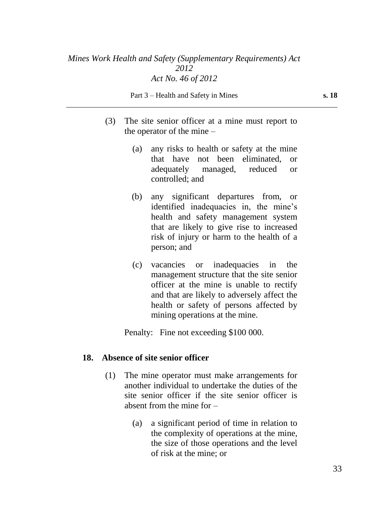Part 3 – Health and Safety in Mines **s. 18** 

- (3) The site senior officer at a mine must report to the operator of the mine –
	- (a) any risks to health or safety at the mine that have not been eliminated, or adequately managed, reduced or controlled; and
	- (b) any significant departures from, or identified inadequacies in, the mine's health and safety management system that are likely to give rise to increased risk of injury or harm to the health of a person; and
	- (c) vacancies or inadequacies in the management structure that the site senior officer at the mine is unable to rectify and that are likely to adversely affect the health or safety of persons affected by mining operations at the mine.

Penalty: Fine not exceeding \$100 000.

#### **18. Absence of site senior officer**

- (1) The mine operator must make arrangements for another individual to undertake the duties of the site senior officer if the site senior officer is absent from the mine for –
	- (a) a significant period of time in relation to the complexity of operations at the mine, the size of those operations and the level of risk at the mine; or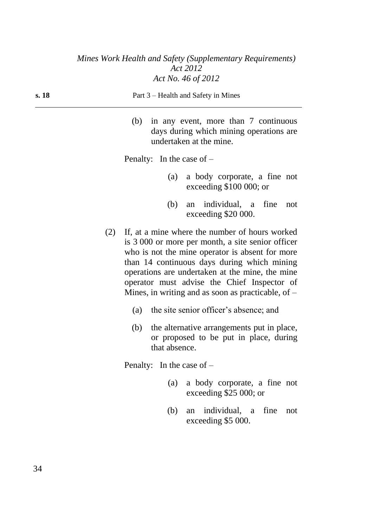| s. 18 | Part 3 – Health and Safety in Mines                                                                            |  |  |
|-------|----------------------------------------------------------------------------------------------------------------|--|--|
|       | (b) in any event, more than 7 continuous<br>days during which mining operations are<br>undertaken at the mine. |  |  |
|       | Penalty: In the case of $-$                                                                                    |  |  |

- (a) a body corporate, a fine not exceeding \$100 000; or
- (b) an individual, a fine not exceeding \$20 000.
- (2) If, at a mine where the number of hours worked is 3 000 or more per month, a site senior officer who is not the mine operator is absent for more than 14 continuous days during which mining operations are undertaken at the mine, the mine operator must advise the Chief Inspector of Mines, in writing and as soon as practicable, of  $-$ 
	- (a) the site senior officer's absence; and
	- (b) the alternative arrangements put in place, or proposed to be put in place, during that absence.

Penalty: In the case of –

- (a) a body corporate, a fine not exceeding \$25 000; or
- (b) an individual, a fine not exceeding \$5 000.

34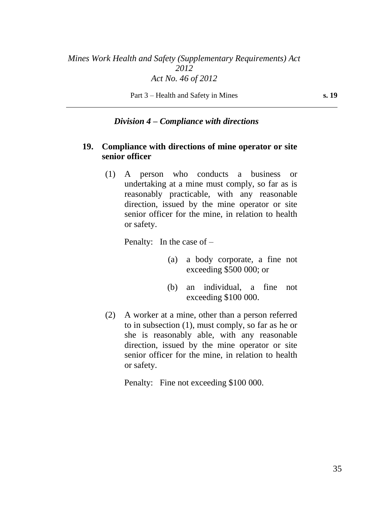### *Division 4 – Compliance with directions*

### **19. Compliance with directions of mine operator or site senior officer**

(1) A person who conducts a business or undertaking at a mine must comply, so far as is reasonably practicable, with any reasonable direction, issued by the mine operator or site senior officer for the mine, in relation to health or safety.

Penalty: In the case of –

- (a) a body corporate, a fine not exceeding \$500 000; or
- (b) an individual, a fine not exceeding \$100 000.
- (2) A worker at a mine, other than a person referred to in subsection (1), must comply, so far as he or she is reasonably able, with any reasonable direction, issued by the mine operator or site senior officer for the mine, in relation to health or safety.

Penalty: Fine not exceeding \$100 000.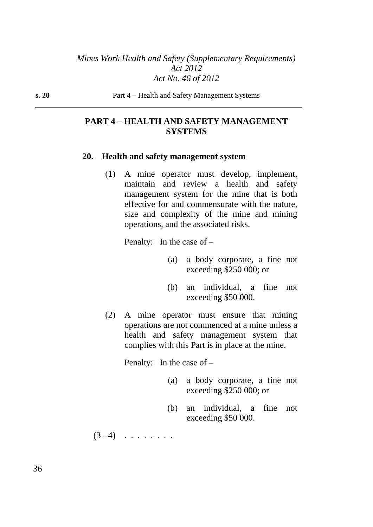**s. 20** Part 4 – Health and Safety Management Systems

### **PART 4 – HEALTH AND SAFETY MANAGEMENT SYSTEMS**

#### **20. Health and safety management system**

(1) A mine operator must develop, implement, maintain and review a health and safety management system for the mine that is both effective for and commensurate with the nature, size and complexity of the mine and mining operations, and the associated risks.

Penalty: In the case of –

- (a) a body corporate, a fine not exceeding \$250 000; or
- (b) an individual, a fine not exceeding \$50 000.
- (2) A mine operator must ensure that mining operations are not commenced at a mine unless a health and safety management system that complies with this Part is in place at the mine.

Penalty: In the case of –

- (a) a body corporate, a fine not exceeding \$250 000; or
- (b) an individual, a fine not exceeding \$50 000.

 $(3 - 4)$  . . . . . . .

36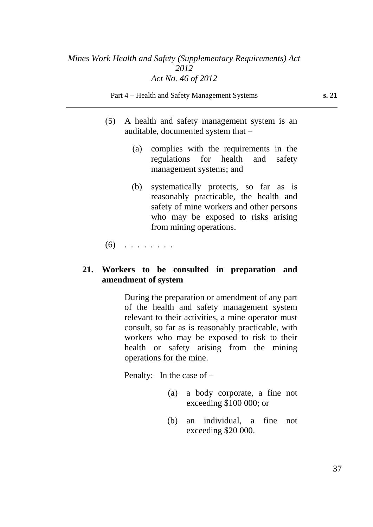Part 4 – Health and Safety Management Systems **s. 21**

- (5) A health and safety management system is an auditable, documented system that –
	- (a) complies with the requirements in the regulations for health and safety management systems; and
	- (b) systematically protects, so far as is reasonably practicable, the health and safety of mine workers and other persons who may be exposed to risks arising from mining operations.

 $(6)$  . . . . . . . .

### **21. Workers to be consulted in preparation and amendment of system**

During the preparation or amendment of any part of the health and safety management system relevant to their activities, a mine operator must consult, so far as is reasonably practicable, with workers who may be exposed to risk to their health or safety arising from the mining operations for the mine.

Penalty: In the case of  $-$ 

- (a) a body corporate, a fine not exceeding \$100 000; or
- (b) an individual, a fine not exceeding \$20 000.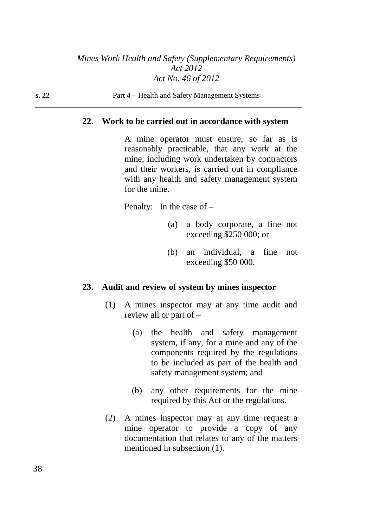**s. 22** Part 4 – Health and Safety Management Systems

#### **22. Work to be carried out in accordance with system**

A mine operator must ensure, so far as is reasonably practicable, that any work at the mine, including work undertaken by contractors and their workers, is carried out in compliance with any health and safety management system for the mine.

Penalty: In the case of  $-$ 

- (a) a body corporate, a fine not exceeding \$250 000; or
- (b) an individual, a fine not exceeding \$50 000.

#### **23. Audit and review of system by mines inspector**

- (1) A mines inspector may at any time audit and review all or part of –
	- (a) the health and safety management system, if any, for a mine and any of the components required by the regulations to be included as part of the health and safety management system; and
	- (b) any other requirements for the mine required by this Act or the regulations.
- (2) A mines inspector may at any time request a mine operator to provide a copy of any documentation that relates to any of the matters mentioned in subsection (1).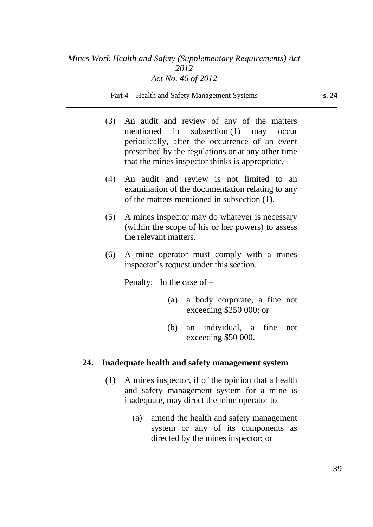Part 4 – Health and Safety Management Systems **s. 24**

- (3) An audit and review of any of the matters mentioned in subsection (1) may occur periodically, after the occurrence of an event prescribed by the regulations or at any other time that the mines inspector thinks is appropriate.
- (4) An audit and review is not limited to an examination of the documentation relating to any of the matters mentioned in subsection (1).
- (5) A mines inspector may do whatever is necessary (within the scope of his or her powers) to assess the relevant matters.
- (6) A mine operator must comply with a mines inspector's request under this section.

Penalty: In the case of –

- (a) a body corporate, a fine not exceeding \$250 000; or
- (b) an individual, a fine not exceeding \$50 000.

### **24. Inadequate health and safety management system**

- (1) A mines inspector, if of the opinion that a health and safety management system for a mine is inadequate, may direct the mine operator to –
	- (a) amend the health and safety management system or any of its components as directed by the mines inspector; or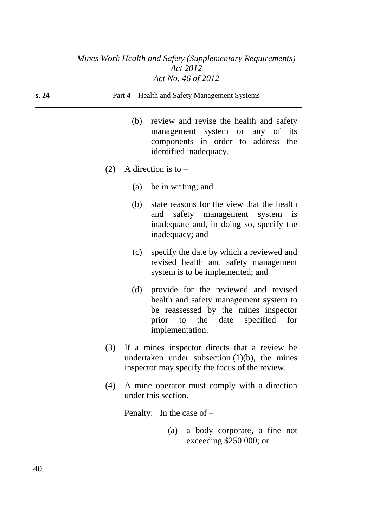| s. 24 |     | Part 4 – Health and Safety Management Systems                                                                                                                                          |
|-------|-----|----------------------------------------------------------------------------------------------------------------------------------------------------------------------------------------|
|       | (b) | review and revise the health and safety<br>management system or any of its<br>components in order to address the<br>identified inadequacy.                                             |
| (2)   |     | A direction is to $-$                                                                                                                                                                  |
|       |     | (a) be in writing; and                                                                                                                                                                 |
|       | (b) | state reasons for the view that the health<br>safety management system<br>and<br>$\frac{1}{1}$<br>inadequate and, in doing so, specify the<br>inadequacy; and                          |
|       | (c) | specify the date by which a reviewed and<br>revised health and safety management<br>system is to be implemented; and                                                                   |
|       |     | (d) provide for the reviewed and revised<br>health and safety management system to<br>be reassessed by the mines inspector<br>to the date specified<br>for<br>prior<br>implementation. |
|       |     | (3) If a mines inspector directs that a review be<br>undertaken under subsection $(1)(b)$ , the mines<br>inspector may specify the focus of the review.                                |
| (4)   |     | A mine operator must comply with a direction<br>under this section.                                                                                                                    |
|       |     | Penalty: In the case of $-$                                                                                                                                                            |

(a) a body corporate, a fine not exceeding \$250 000; or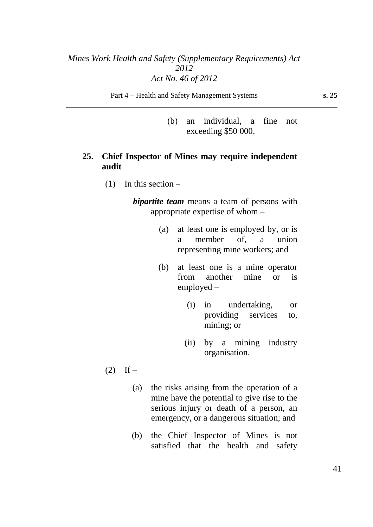Part 4 – Health and Safety Management Systems **s. 25**

(b) an individual, a fine not exceeding \$50 000.

### **25. Chief Inspector of Mines may require independent audit**

(1) In this section –

*bipartite team* means a team of persons with appropriate expertise of whom –

- (a) at least one is employed by, or is a member of, a union representing mine workers; and
- (b) at least one is a mine operator from another mine or is employed –
	- (i) in undertaking, or providing services to, mining; or
	- (ii) by a mining industry organisation.
- $(2)$  If
	- (a) the risks arising from the operation of a mine have the potential to give rise to the serious injury or death of a person, an emergency, or a dangerous situation; and
	- (b) the Chief Inspector of Mines is not satisfied that the health and safety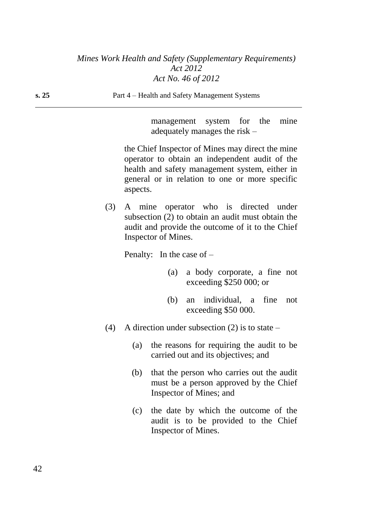|     | system for the mine<br>management<br>adequately manages the risk $-$                                                                                                                                               |
|-----|--------------------------------------------------------------------------------------------------------------------------------------------------------------------------------------------------------------------|
|     | the Chief Inspector of Mines may direct the mine<br>operator to obtain an independent audit of the<br>health and safety management system, either in<br>general or in relation to one or more specific<br>aspects. |
| (3) | A mine operator who is directed under<br>subsection (2) to obtain an audit must obtain the<br>audit and provide the outcome of it to the Chief<br>Inspector of Mines.                                              |
|     | Penalty: In the case of $-$                                                                                                                                                                                        |
|     | (a) a body corporate, a fine not<br>exceeding $$250,000$ ; or                                                                                                                                                      |
|     | an individual, a fine<br>(b)<br>not<br>exceeding \$50 000.                                                                                                                                                         |
| (4) | A direction under subsection (2) is to state $-$                                                                                                                                                                   |
|     | the reasons for requiring the audit to be<br>(a)<br>carried out and its objectives; and                                                                                                                            |
|     | (b) that the person who carries out the audit<br>must be a person approved by the Chief<br>Inspector of Mines; and                                                                                                 |
|     | the date by which the outcome of the<br>(c)<br>audit is to be provided to the Chief<br>Inspector of Mines.                                                                                                         |
|     |                                                                                                                                                                                                                    |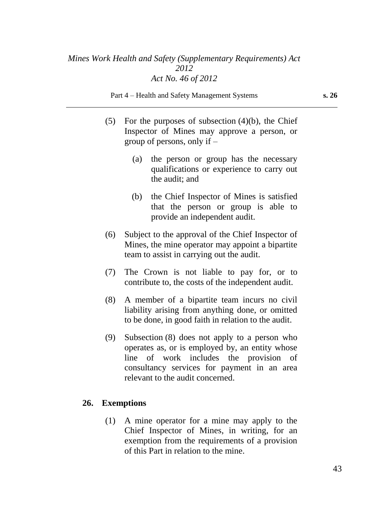Part 4 – Health and Safety Management Systems **s. 26**

- (5) For the purposes of subsection  $(4)(b)$ , the Chief Inspector of Mines may approve a person, or group of persons, only if –
	- (a) the person or group has the necessary qualifications or experience to carry out the audit; and
	- (b) the Chief Inspector of Mines is satisfied that the person or group is able to provide an independent audit.
- (6) Subject to the approval of the Chief Inspector of Mines, the mine operator may appoint a bipartite team to assist in carrying out the audit.
- (7) The Crown is not liable to pay for, or to contribute to, the costs of the independent audit.
- (8) A member of a bipartite team incurs no civil liability arising from anything done, or omitted to be done, in good faith in relation to the audit.
- (9) Subsection (8) does not apply to a person who operates as, or is employed by, an entity whose line of work includes the provision of consultancy services for payment in an area relevant to the audit concerned.

### **26. Exemptions**

(1) A mine operator for a mine may apply to the Chief Inspector of Mines, in writing, for an exemption from the requirements of a provision of this Part in relation to the mine.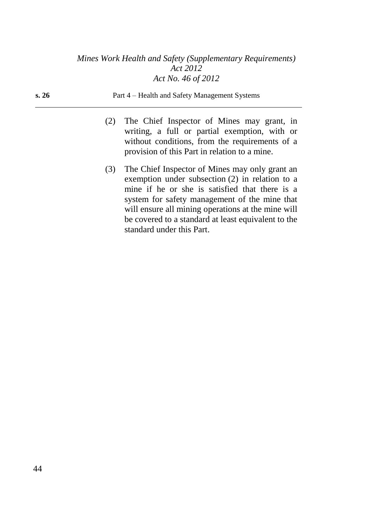**s. 26** Part 4 – Health and Safety Management Systems

- (2) The Chief Inspector of Mines may grant, in writing, a full or partial exemption, with or without conditions, from the requirements of a provision of this Part in relation to a mine.
- (3) The Chief Inspector of Mines may only grant an exemption under subsection (2) in relation to a mine if he or she is satisfied that there is a system for safety management of the mine that will ensure all mining operations at the mine will be covered to a standard at least equivalent to the standard under this Part.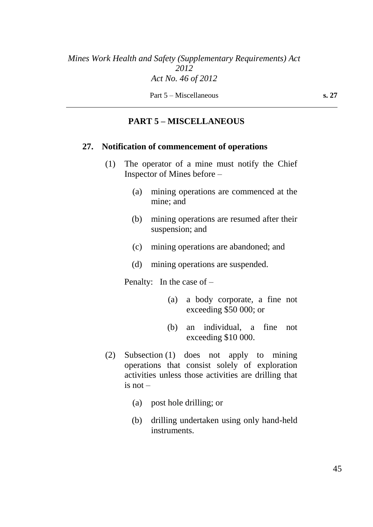Part 5 – Miscellaneous **s. 27** 

# **PART 5 – MISCELLANEOUS**

#### **27. Notification of commencement of operations**

- (1) The operator of a mine must notify the Chief Inspector of Mines before –
	- (a) mining operations are commenced at the mine; and
	- (b) mining operations are resumed after their suspension; and
	- (c) mining operations are abandoned; and
	- (d) mining operations are suspended.

Penalty: In the case of  $-$ 

- (a) a body corporate, a fine not exceeding \$50 000; or
- (b) an individual, a fine not exceeding \$10 000.
- (2) Subsection (1) does not apply to mining operations that consist solely of exploration activities unless those activities are drilling that is not –
	- (a) post hole drilling; or
	- (b) drilling undertaken using only hand-held instruments.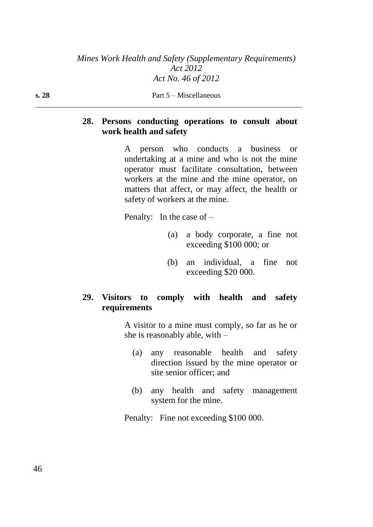**s. 28** Part 5 – Miscellaneous

### **28. Persons conducting operations to consult about work health and safety**

A person who conducts a business or undertaking at a mine and who is not the mine operator must facilitate consultation, between workers at the mine and the mine operator, on matters that affect, or may affect, the health or safety of workers at the mine.

Penalty: In the case of –

- (a) a body corporate, a fine not exceeding \$100 000; or
- (b) an individual, a fine not exceeding \$20 000.

# **29. Visitors to comply with health and safety requirements**

A visitor to a mine must comply, so far as he or she is reasonably able, with –

- (a) any reasonable health and safety direction issued by the mine operator or site senior officer; and
- (b) any health and safety management system for the mine.

Penalty: Fine not exceeding \$100 000.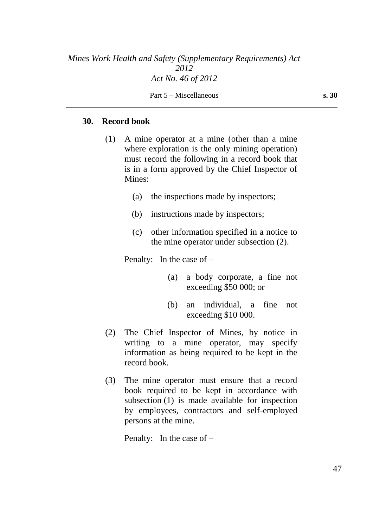#### **30. Record book**

- (1) A mine operator at a mine (other than a mine where exploration is the only mining operation) must record the following in a record book that is in a form approved by the Chief Inspector of Mines:
	- (a) the inspections made by inspectors;
	- (b) instructions made by inspectors;
	- (c) other information specified in a notice to the mine operator under subsection (2).

Penalty: In the case of –

- (a) a body corporate, a fine not exceeding \$50 000; or
- (b) an individual, a fine not exceeding \$10 000.
- (2) The Chief Inspector of Mines, by notice in writing to a mine operator, may specify information as being required to be kept in the record book.
- (3) The mine operator must ensure that a record book required to be kept in accordance with subsection (1) is made available for inspection by employees, contractors and self-employed persons at the mine.

Penalty: In the case of –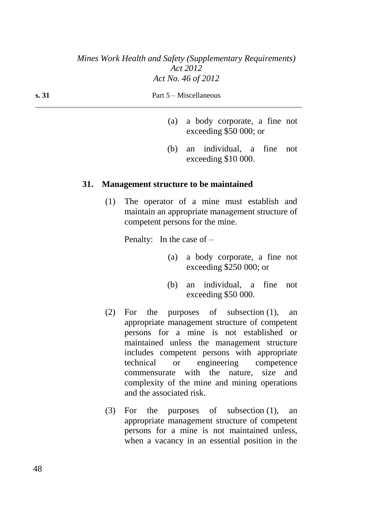| s. 31 | Part 5 – Miscellaneous |
|-------|------------------------|
|       |                        |

- (a) a body corporate, a fine not exceeding \$50 000; or
- (b) an individual, a fine not exceeding \$10 000.

### **31. Management structure to be maintained**

(1) The operator of a mine must establish and maintain an appropriate management structure of competent persons for the mine.

Penalty: In the case of –

- (a) a body corporate, a fine not exceeding \$250 000; or
- (b) an individual, a fine not exceeding \$50 000.
- (2) For the purposes of subsection (1), an appropriate management structure of competent persons for a mine is not established or maintained unless the management structure includes competent persons with appropriate technical or engineering competence commensurate with the nature, size and complexity of the mine and mining operations and the associated risk.
- (3) For the purposes of subsection (1), an appropriate management structure of competent persons for a mine is not maintained unless, when a vacancy in an essential position in the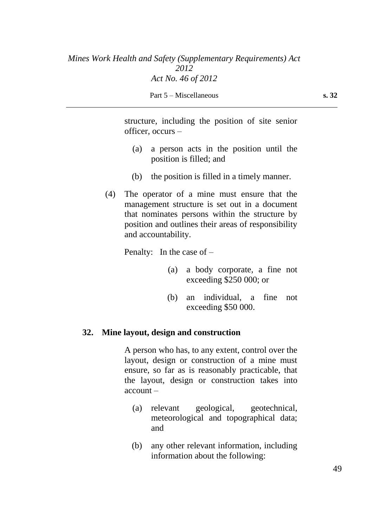Part 5 – Miscellaneous **s. 32** 

structure, including the position of site senior officer, occurs –

- (a) a person acts in the position until the position is filled; and
- (b) the position is filled in a timely manner.
- (4) The operator of a mine must ensure that the management structure is set out in a document that nominates persons within the structure by position and outlines their areas of responsibility and accountability.

Penalty: In the case of –

- (a) a body corporate, a fine not exceeding \$250 000; or
- (b) an individual, a fine not exceeding \$50 000.

### **32. Mine layout, design and construction**

A person who has, to any extent, control over the layout, design or construction of a mine must ensure, so far as is reasonably practicable, that the layout, design or construction takes into account –

- (a) relevant geological, geotechnical, meteorological and topographical data; and
- (b) any other relevant information, including information about the following: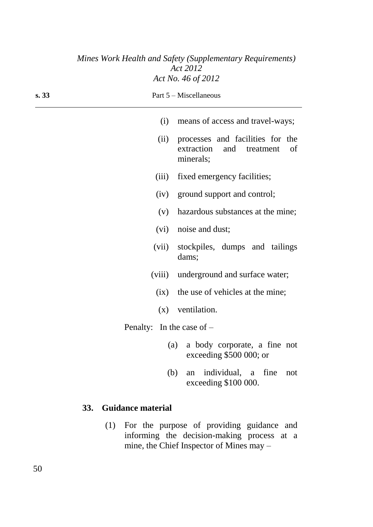|       |                             | Mines Work Health and Safety (Supplementary Requirements)<br>Act 2012              |
|-------|-----------------------------|------------------------------------------------------------------------------------|
|       |                             | Act No. 46 of 2012                                                                 |
| s. 33 |                             | Part 5 – Miscellaneous                                                             |
|       | (i)                         | means of access and travel-ways;                                                   |
|       | (ii)                        | processes and facilities for the<br>extraction<br>and treatment<br>of<br>minerals; |
|       | (iii)                       | fixed emergency facilities;                                                        |
|       |                             | (iv) ground support and control;                                                   |
|       | (v)                         | hazardous substances at the mine;                                                  |
|       | (vi)                        | noise and dust;                                                                    |
|       | (vii)                       | stockpiles, dumps and tailings<br>dams;                                            |
|       | (viii)                      | underground and surface water;                                                     |
|       | (ix)                        | the use of vehicles at the mine;                                                   |
|       | (x)                         | ventilation.                                                                       |
|       | Penalty: In the case of $-$ |                                                                                    |
|       |                             | (a)<br>a body corporate, a fine not<br>exceeding \$500 000; or                     |
|       | (b)                         | an individual, a fine<br>not<br>exceeding \$100 000.                               |

# **33. Guidance material**

(1) For the purpose of providing guidance and informing the decision-making process at a mine, the Chief Inspector of Mines may –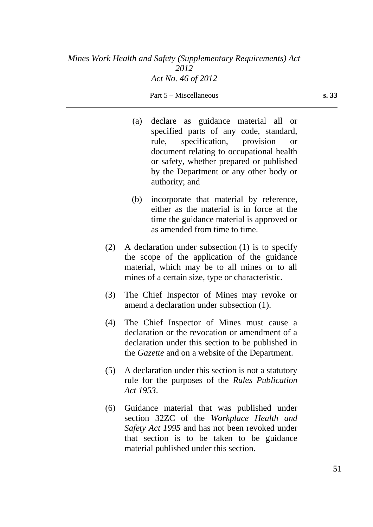| (a) | declare as guidance material all or                                                                                               |
|-----|-----------------------------------------------------------------------------------------------------------------------------------|
|     | specified parts of any code, standard,                                                                                            |
|     | rule, specification, provision<br><b>or</b>                                                                                       |
|     | document relating to occupational health                                                                                          |
|     | or safety, whether prepared or published                                                                                          |
|     | by the Department or any other body or<br>authority; and                                                                          |
| (b) | incorporate that material by reference,<br>either as the material is in force at the<br>time the guidance material is approved or |

(2) A declaration under subsection (1) is to specify the scope of the application of the guidance material, which may be to all mines or to all mines of a certain size, type or characteristic.

as amended from time to time.

- (3) The Chief Inspector of Mines may revoke or amend a declaration under subsection (1).
- (4) The Chief Inspector of Mines must cause a declaration or the revocation or amendment of a declaration under this section to be published in the *Gazette* and on a website of the Department.
- (5) A declaration under this section is not a statutory rule for the purposes of the *Rules Publication Act 1953*.
- (6) Guidance material that was published under section 32ZC of the *Workplace Health and Safety Act 1995* and has not been revoked under that section is to be taken to be guidance material published under this section.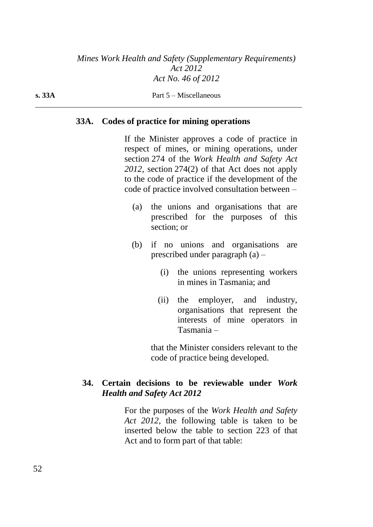#### **s. 33A** Part 5 – Miscellaneous

#### **33A. Codes of practice for mining operations**

If the Minister approves a code of practice in respect of mines, or mining operations, under section 274 of the *Work Health and Safety Act 2012*, section 274(2) of that Act does not apply to the code of practice if the development of the code of practice involved consultation between –

- (a) the unions and organisations that are prescribed for the purposes of this section; or
- (b) if no unions and organisations are prescribed under paragraph (a) –
	- (i) the unions representing workers in mines in Tasmania; and
	- (ii) the employer, and industry, organisations that represent the interests of mine operators in Tasmania –

that the Minister considers relevant to the code of practice being developed.

# **34. Certain decisions to be reviewable under** *Work Health and Safety Act 2012*

For the purposes of the *Work Health and Safety Act 2012*, the following table is taken to be inserted below the table to section 223 of that Act and to form part of that table: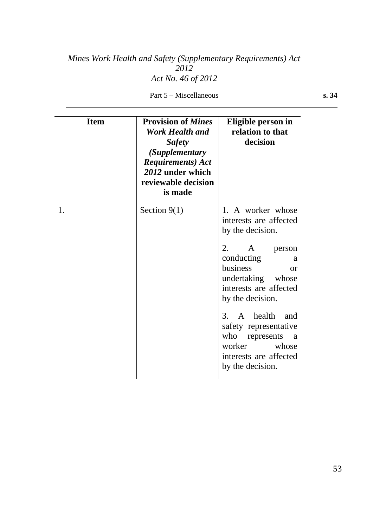Part 5 – Miscellaneous

| ٠<br>٠<br>۰, | ۰.<br>× |
|--------------|---------|
|              |         |

| <b>Item</b> | <b>Provision of Mines</b><br>Work Health and<br><b>Safety</b><br><i>(Supplementary</i><br><b>Requirements</b> ) Act<br>2012 under which<br>reviewable decision<br>is made | Eligible person in<br>relation to that<br>decision                                                                                                                                                                                                                                                                                                   |
|-------------|---------------------------------------------------------------------------------------------------------------------------------------------------------------------------|------------------------------------------------------------------------------------------------------------------------------------------------------------------------------------------------------------------------------------------------------------------------------------------------------------------------------------------------------|
| 1.          | Section $9(1)$                                                                                                                                                            | 1. A worker whose<br>interests are affected<br>by the decision.<br>2.<br>A<br>person<br>conducting<br>a<br>business<br>$\alpha$<br>undertaking whose<br>interests are affected<br>by the decision.<br>3. A health and<br>safety representative<br>who<br>represents<br><sub>a</sub><br>worker<br>whose<br>interests are affected<br>by the decision. |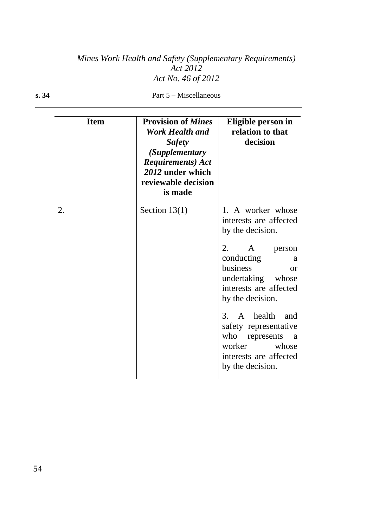| <b>Item</b> | <b>Provision of Mines</b><br>Work Health and<br><b>Safety</b><br>(Supplementary<br><b>Requirements</b> ) Act<br>2012 under which<br>reviewable decision<br>is made | Eligible person in<br>relation to that<br>decision                                                                                                                                                                                                                                                                                                          |
|-------------|--------------------------------------------------------------------------------------------------------------------------------------------------------------------|-------------------------------------------------------------------------------------------------------------------------------------------------------------------------------------------------------------------------------------------------------------------------------------------------------------------------------------------------------------|
| 2.          | Section $13(1)$                                                                                                                                                    | 1. A worker whose<br>interests are affected<br>by the decision.<br>2.<br>$\mathbf{A}$<br>person<br>conducting<br>a<br>business<br><b>or</b><br>undertaking<br>whose<br>interests are affected<br>by the decision.<br>3. A health<br>and<br>safety representative<br>who<br>represents<br>a<br>worker<br>whose<br>interests are affected<br>by the decision. |

**s. 34** Part 5 – Miscellaneous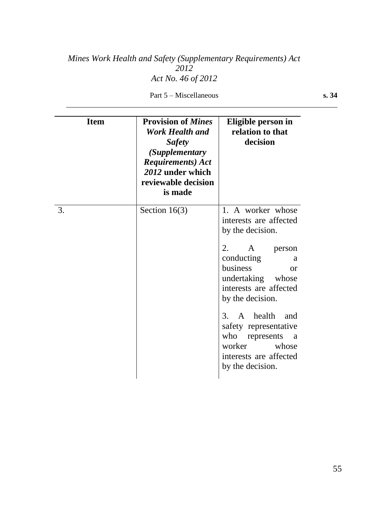Part 5 – Miscellaneous

| ٠<br>٠<br>۰, | ۰.<br>× |
|--------------|---------|
|              |         |

| <b>Item</b> | <b>Provision of Mines</b><br><b>Work Health and</b><br><b>Safety</b><br>(Supplementary<br><b>Requirements</b> ) Act<br>2012 under which<br>reviewable decision<br>is made | Eligible person in<br>relation to that<br>decision                                                                                                                                                                                                                                                                                        |
|-------------|---------------------------------------------------------------------------------------------------------------------------------------------------------------------------|-------------------------------------------------------------------------------------------------------------------------------------------------------------------------------------------------------------------------------------------------------------------------------------------------------------------------------------------|
| 3.          | Section $16(3)$                                                                                                                                                           | 1. A worker whose<br>interests are affected<br>by the decision.<br>2.<br>A<br>person<br>conducting<br>a<br>business<br>$\alpha$<br>undertaking whose<br>interests are affected<br>by the decision.<br>3. A health and<br>safety representative<br>who<br>represents<br>a<br>worker<br>whose<br>interests are affected<br>by the decision. |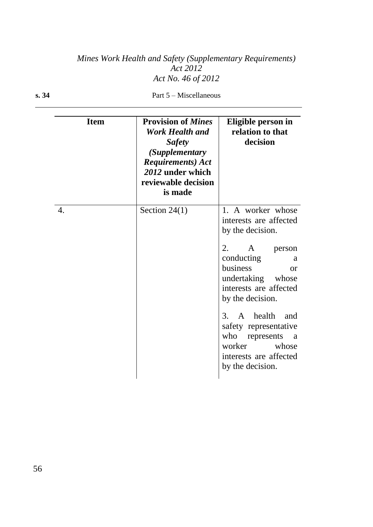| <b>Item</b> | <b>Provision of Mines</b><br><b>Work Health and</b><br><b>Safety</b><br>(Supplementary<br><b>Requirements</b> ) Act<br>2012 under which<br>reviewable decision<br>is made | Eligible person in<br>relation to that<br>decision                                                                                                                                                                                                                                                                                              |
|-------------|---------------------------------------------------------------------------------------------------------------------------------------------------------------------------|-------------------------------------------------------------------------------------------------------------------------------------------------------------------------------------------------------------------------------------------------------------------------------------------------------------------------------------------------|
| 4.          | Section $24(1)$                                                                                                                                                           | 1. A worker whose<br>interests are affected<br>by the decision.<br>2.<br>A<br>person<br>conducting<br>a<br>business<br>$\alpha$<br>undertaking<br>whose<br>interests are affected<br>by the decision.<br>3. A health<br>and<br>safety representative<br>who<br>represents<br>a<br>worker<br>whose<br>interests are affected<br>by the decision. |

**s. 34** Part 5 – Miscellaneous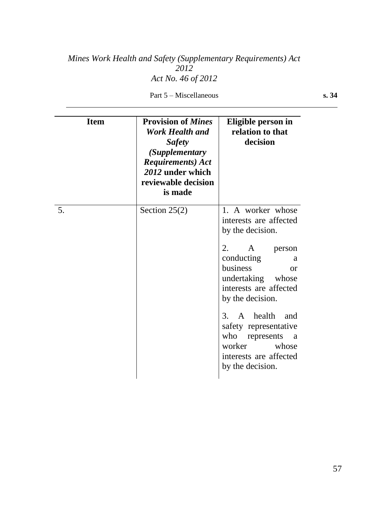Part 5 – Miscellaneous

|    | I  |
|----|----|
|    | ×  |
|    |    |
|    |    |
| ٠  |    |
| ×  | ۰. |
| ۰. |    |
| ., | ×  |
|    |    |
|    |    |
|    |    |

| <b>Item</b> | <b>Provision of Mines</b><br><b>Work Health and</b><br><b>Safety</b><br><i>(Supplementary</i><br><b>Requirements</b> ) Act<br>2012 under which<br>reviewable decision<br>is made | Eligible person in<br>relation to that<br>decision                                                                                                                                                                                                                                                                                        |
|-------------|----------------------------------------------------------------------------------------------------------------------------------------------------------------------------------|-------------------------------------------------------------------------------------------------------------------------------------------------------------------------------------------------------------------------------------------------------------------------------------------------------------------------------------------|
| 5.          | Section $25(2)$                                                                                                                                                                  | 1. A worker whose<br>interests are affected<br>by the decision.<br>2.<br>A<br>person<br>conducting<br>a<br>business<br>or<br>undertaking<br>whose<br>interests are affected<br>by the decision.<br>A health and<br>3.<br>safety representative<br>who<br>represents<br>a<br>worker<br>whose<br>interests are affected<br>by the decision. |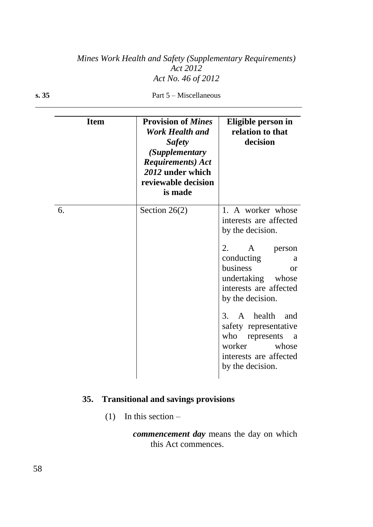| <b>Item</b> | <b>Provision of Mines</b><br><b>Work Health and</b><br><b>Safety</b><br>(Supplementary<br><b>Requirements</b> ) Act<br>2012 under which<br>reviewable decision<br>is made | Eligible person in<br>relation to that<br>decision                                                                                                                                                                                                                                                                                                        |
|-------------|---------------------------------------------------------------------------------------------------------------------------------------------------------------------------|-----------------------------------------------------------------------------------------------------------------------------------------------------------------------------------------------------------------------------------------------------------------------------------------------------------------------------------------------------------|
| 6.          | Section $26(2)$                                                                                                                                                           | 1. A worker whose<br>interests are affected<br>by the decision.<br>2.<br>$\overline{A}$<br>person<br>conducting<br>a<br>business<br>$\alpha$<br>undertaking whose<br>interests are affected<br>by the decision.<br>A health and<br>3.<br>safety representative<br>who<br>represents<br>a<br>worker<br>whose<br>interests are affected<br>by the decision. |

**s. 35** Part 5 – Miscellaneous

# **35. Transitional and savings provisions**

(1) In this section  $-$ 

*commencement day* means the day on which this Act commences.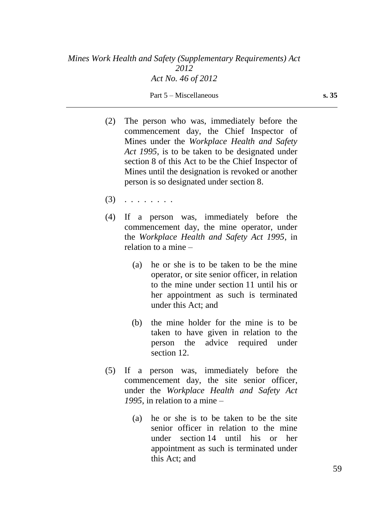- (2) The person who was, immediately before the commencement day, the Chief Inspector of Mines under the *Workplace Health and Safety Act 1995*, is to be taken to be designated under section 8 of this Act to be the Chief Inspector of Mines until the designation is revoked or another person is so designated under section 8.
- (3) . . . . . . . .
- (4) If a person was, immediately before the commencement day, the mine operator, under the *Workplace Health and Safety Act 1995*, in relation to a mine –
	- (a) he or she is to be taken to be the mine operator, or site senior officer, in relation to the mine under section 11 until his or her appointment as such is terminated under this Act; and
	- (b) the mine holder for the mine is to be taken to have given in relation to the person the advice required under section 12.
- (5) If a person was, immediately before the commencement day, the site senior officer, under the *Workplace Health and Safety Act 1995*, in relation to a mine –
	- (a) he or she is to be taken to be the site senior officer in relation to the mine under section 14 until his or her appointment as such is terminated under this Act; and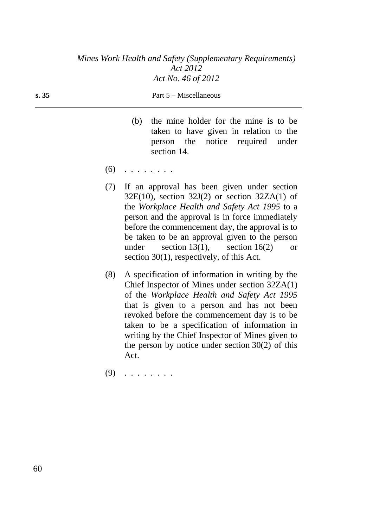#### **s. 35** Part 5 – Miscellaneous

- (b) the mine holder for the mine is to be taken to have given in relation to the person the notice required under section 14.
- $(6)$  . . . . . . . .
- (7) If an approval has been given under section  $32E(10)$ , section  $32J(2)$  or section  $32ZA(1)$  of the *Workplace Health and Safety Act 1995* to a person and the approval is in force immediately before the commencement day, the approval is to be taken to be an approval given to the person under section 13(1), section 16(2) or section 30(1), respectively, of this Act.
- (8) A specification of information in writing by the Chief Inspector of Mines under section 32ZA(1) of the *Workplace Health and Safety Act 1995* that is given to a person and has not been revoked before the commencement day is to be taken to be a specification of information in writing by the Chief Inspector of Mines given to the person by notice under section  $30(2)$  of this Act.
- (9) . . . . . . . .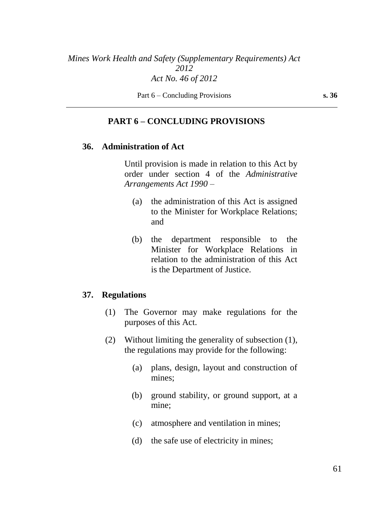Part 6 – Concluding Provisions **s. 36** 

### **PART 6 – CONCLUDING PROVISIONS**

### **36. Administration of Act**

Until provision is made in relation to this Act by order under section 4 of the *Administrative Arrangements Act 1990* –

- (a) the administration of this Act is assigned to the Minister for Workplace Relations; and
- (b) the department responsible to the Minister for Workplace Relations in relation to the administration of this Act is the Department of Justice.

#### **37. Regulations**

- (1) The Governor may make regulations for the purposes of this Act.
- (2) Without limiting the generality of subsection (1), the regulations may provide for the following:
	- (a) plans, design, layout and construction of mines;
	- (b) ground stability, or ground support, at a mine;
	- (c) atmosphere and ventilation in mines;
	- (d) the safe use of electricity in mines;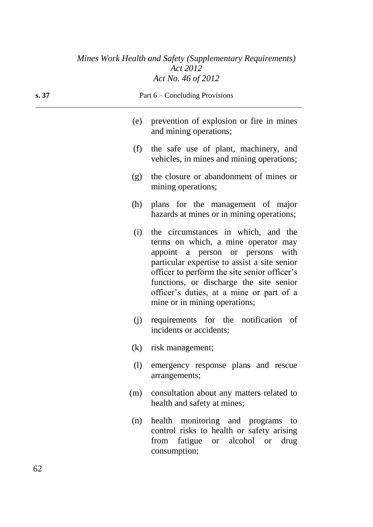| s.37 |     | Part 6 – Concluding Provisions                                                                                                                                                                                                                                                                                                         |  |
|------|-----|----------------------------------------------------------------------------------------------------------------------------------------------------------------------------------------------------------------------------------------------------------------------------------------------------------------------------------------|--|
|      | (e) | prevention of explosion or fire in mines<br>and mining operations;                                                                                                                                                                                                                                                                     |  |
|      | (f) | the safe use of plant, machinery, and<br>vehicles, in mines and mining operations;                                                                                                                                                                                                                                                     |  |
|      | (g) | the closure or abandonment of mines or<br>mining operations;                                                                                                                                                                                                                                                                           |  |
|      | (h) | plans for the management of major<br>hazards at mines or in mining operations;                                                                                                                                                                                                                                                         |  |
|      | (i) | the circumstances in which, and the<br>terms on which, a mine operator may<br>appoint a person or persons with<br>particular expertise to assist a site senior<br>officer to perform the site senior officer's<br>functions, or discharge the site senior<br>officer's duties, at a mine or part of a<br>mine or in mining operations; |  |
|      | (j) | requirements for the notification of<br>incidents or accidents;                                                                                                                                                                                                                                                                        |  |
|      |     | (k) risk management;                                                                                                                                                                                                                                                                                                                   |  |
|      | (1) | emergency response plans and rescue<br>arrangements;                                                                                                                                                                                                                                                                                   |  |
|      | (m) | consultation about any matters related to<br>health and safety at mines;                                                                                                                                                                                                                                                               |  |
|      | (n) | health monitoring and programs<br>to<br>control risks to health or safety arising<br>fatigue or alcohol<br>from<br>drug<br><b>or</b><br>consumption;                                                                                                                                                                                   |  |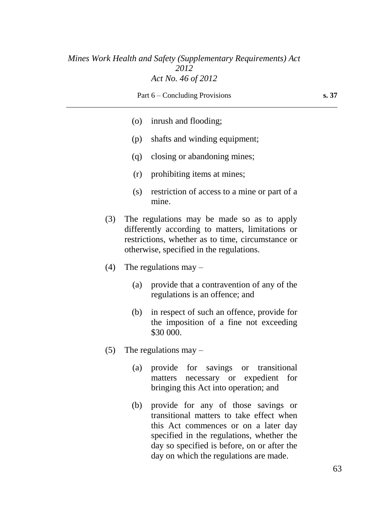Part 6 – Concluding Provisions **s. 37** (o) inrush and flooding;

- (p) shafts and winding equipment;
- (q) closing or abandoning mines;
- (r) prohibiting items at mines;
- (s) restriction of access to a mine or part of a mine.
- (3) The regulations may be made so as to apply differently according to matters, limitations or restrictions, whether as to time, circumstance or otherwise, specified in the regulations.
- (4) The regulations may  $-$ 
	- (a) provide that a contravention of any of the regulations is an offence; and
	- (b) in respect of such an offence, provide for the imposition of a fine not exceeding \$30 000.
- (5) The regulations may  $-$ 
	- (a) provide for savings or transitional matters necessary or expedient for bringing this Act into operation; and
	- (b) provide for any of those savings or transitional matters to take effect when this Act commences or on a later day specified in the regulations, whether the day so specified is before, on or after the day on which the regulations are made.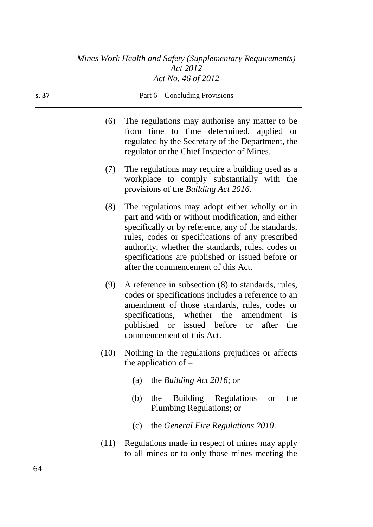| s. 37 |      | Part $6$ – Concluding Provisions                                                                                                                                                                                                                                                                                                                              |
|-------|------|---------------------------------------------------------------------------------------------------------------------------------------------------------------------------------------------------------------------------------------------------------------------------------------------------------------------------------------------------------------|
|       | (6)  | The regulations may authorise any matter to be<br>from time to time determined, applied or<br>regulated by the Secretary of the Department, the<br>regulator or the Chief Inspector of Mines.                                                                                                                                                                 |
|       | (7)  | The regulations may require a building used as a<br>workplace to comply substantially with the<br>provisions of the <i>Building Act 2016</i> .                                                                                                                                                                                                                |
|       | (8)  | The regulations may adopt either wholly or in<br>part and with or without modification, and either<br>specifically or by reference, any of the standards,<br>rules, codes or specifications of any prescribed<br>authority, whether the standards, rules, codes or<br>specifications are published or issued before or<br>after the commencement of this Act. |
|       | (9)  | A reference in subsection (8) to standards, rules,<br>codes or specifications includes a reference to an<br>amendment of those standards, rules, codes or<br>specifications, whether the<br>amendment<br>is<br>published or issued before or after<br>the<br>commencement of this Act.                                                                        |
|       | (10) | Nothing in the regulations prejudices or affects<br>the application of $-$                                                                                                                                                                                                                                                                                    |
|       |      | the <i>Building Act 2016</i> ; or<br>(a)                                                                                                                                                                                                                                                                                                                      |
|       |      | Building Regulations<br>the<br>the<br>(b)<br><b>or</b><br>Plumbing Regulations; or                                                                                                                                                                                                                                                                            |
|       |      | the <i>General Fire Regulations 2010</i> .<br>(c)                                                                                                                                                                                                                                                                                                             |

(11) Regulations made in respect of mines may apply to all mines or to only those mines meeting the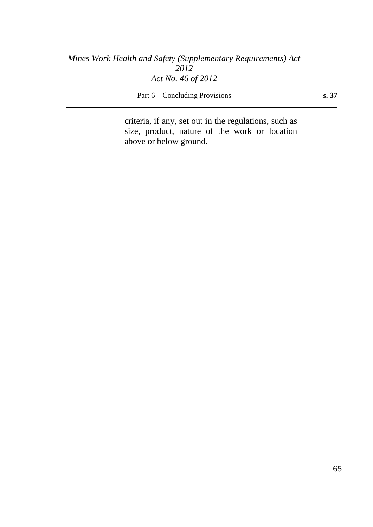Part 6 – Concluding Provisions **s. 37** 

criteria, if any, set out in the regulations, such as size, product, nature of the work or location above or below ground.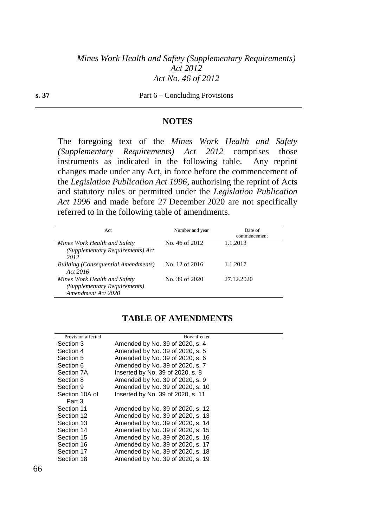#### **s. 37** Part 6 – Concluding Provisions

#### **NOTES**

The foregoing text of the *Mines Work Health and Safety (Supplementary Requirements) Act 2012* comprises those instruments as indicated in the following table. Any reprint changes made under any Act, in force before the commencement of the *Legislation Publication Act 1996*, authorising the reprint of Acts and statutory rules or permitted under the *Legislation Publication Act 1996* and made before 27 December 2020 are not specifically referred to in the following table of amendments.

| Act                                                                                | Number and year | Date of<br>commencement |
|------------------------------------------------------------------------------------|-----------------|-------------------------|
| Mines Work Health and Safety<br>(Supplementary Requirements) Act<br>2012           | No. 46 of 2012  | 1.1.2013                |
| <b>Building (Consequential Amendments)</b><br>Act 2016                             | No. 12 of 2016  | 1.1.2017                |
| Mines Work Health and Safety<br>(Supplementary Requirements)<br>Amendment Act 2020 | No. 39 of 2020  | 27.12.2020              |

#### **TABLE OF AMENDMENTS**

| Provision affected | How affected                      |
|--------------------|-----------------------------------|
| Section 3          | Amended by No. 39 of 2020, s. 4   |
| Section 4          | Amended by No. 39 of 2020, s. 5   |
| Section 5          | Amended by No. 39 of 2020, s. 6   |
| Section 6          | Amended by No. 39 of 2020, s. 7   |
| Section 7A         | Inserted by No. 39 of 2020, s. 8  |
| Section 8          | Amended by No. 39 of 2020, s. 9   |
| Section 9          | Amended by No. 39 of 2020, s. 10  |
| Section 10A of     | Inserted by No. 39 of 2020, s. 11 |
| Part 3             |                                   |
| Section 11         | Amended by No. 39 of 2020, s. 12  |
| Section 12         | Amended by No. 39 of 2020, s. 13  |
| Section 13         | Amended by No. 39 of 2020, s. 14  |
| Section 14         | Amended by No. 39 of 2020, s. 15  |
| Section 15         | Amended by No. 39 of 2020, s. 16  |
| Section 16         | Amended by No. 39 of 2020, s. 17  |
| Section 17         | Amended by No. 39 of 2020, s. 18  |
| Section 18         | Amended by No. 39 of 2020, s. 19  |